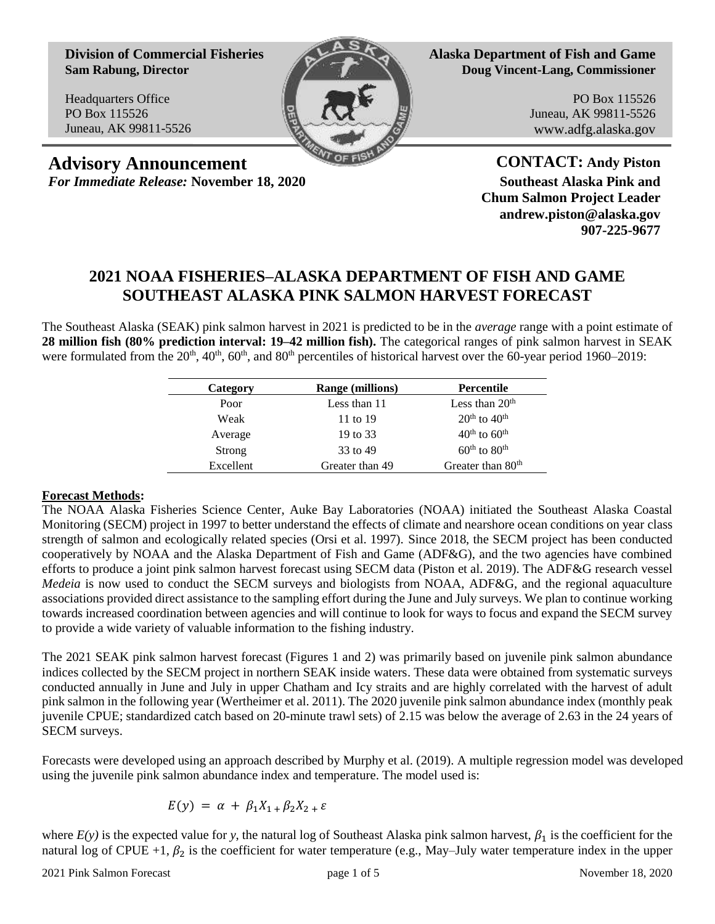**Division of Commercial Fisheries Sam Rabung, Director**

Headquarters Office PO Box 115526 Juneau, AK 99811-5526



**Alaska Department of Fish and Game Doug Vincent-Lang, Commissioner**

> PO Box 115526 Juneau, AK 99811-5526 www.adfg.alaska.gov

**Advisory Announcement CONTACT: Andy Piston** *For Immediate Release:* **November 18, 2020 Southeast Alaska Pink and**

**Chum Salmon Project Leader andrew.piston@alaska.gov 907-225-9677**

## **2021 NOAA FISHERIES–ALASKA DEPARTMENT OF FISH AND GAME SOUTHEAST ALASKA PINK SALMON HARVEST FORECAST**

The Southeast Alaska (SEAK) pink salmon harvest in 2021 is predicted to be in the *average* range with a point estimate of **28 million fish (80% prediction interval: 19–42 million fish).** The categorical ranges of pink salmon harvest in SEAK were formulated from the  $20<sup>th</sup>$ ,  $40<sup>th</sup>$ ,  $60<sup>th</sup>$ , and  $80<sup>th</sup>$  percentiles of historical harvest over the 60-year period 1960–2019:

| <b>Range (millions)</b> | Percentile                           |
|-------------------------|--------------------------------------|
| Less than 11            | Less than $20th$                     |
| 11 to 19                | $20th$ to $40th$                     |
| 19 to 33                | $40^{\text{th}}$ to $60^{\text{th}}$ |
| 33 to 49                | $60^{\text{th}}$ to $80^{\text{th}}$ |
| Greater than 49         | Greater than 80 <sup>th</sup>        |
|                         |                                      |

## **Forecast Methods:**

The NOAA Alaska Fisheries Science Center, Auke Bay Laboratories (NOAA) initiated the Southeast Alaska Coastal Monitoring (SECM) project in 1997 to better understand the effects of climate and nearshore ocean conditions on year class strength of salmon and ecologically related species (Orsi et al. 1997). Since 2018, the SECM project has been conducted cooperatively by NOAA and the Alaska Department of Fish and Game (ADF&G), and the two agencies have combined efforts to produce a joint pink salmon harvest forecast using SECM data (Piston et al. 2019). The ADF&G research vessel *Medeia* is now used to conduct the SECM surveys and biologists from NOAA, ADF&G, and the regional aquaculture associations provided direct assistance to the sampling effort during the June and July surveys. We plan to continue working towards increased coordination between agencies and will continue to look for ways to focus and expand the SECM survey to provide a wide variety of valuable information to the fishing industry.

The 2021 SEAK pink salmon harvest forecast (Figures 1 and 2) was primarily based on juvenile pink salmon abundance indices collected by the SECM project in northern SEAK inside waters. These data were obtained from systematic surveys conducted annually in June and July in upper Chatham and Icy straits and are highly correlated with the harvest of adult pink salmon in the following year (Wertheimer et al. 2011). The 2020 juvenile pink salmon abundance index (monthly peak juvenile CPUE; standardized catch based on 20-minute trawl sets) of 2.15 was below the average of 2.63 in the 24 years of SECM surveys.

Forecasts were developed using an approach described by Murphy et al. (2019). A multiple regression model was developed using the juvenile pink salmon abundance index and temperature. The model used is:

$$
E(y) = \alpha + \beta_1 X_{1} + \beta_2 X_{2} + \varepsilon
$$

where  $E(y)$  is the expected value for y, the natural log of Southeast Alaska pink salmon harvest,  $\beta_1$  is the coefficient for the natural log of CPUE +1,  $\beta_2$  is the coefficient for water temperature (e.g., May–July water temperature index in the upper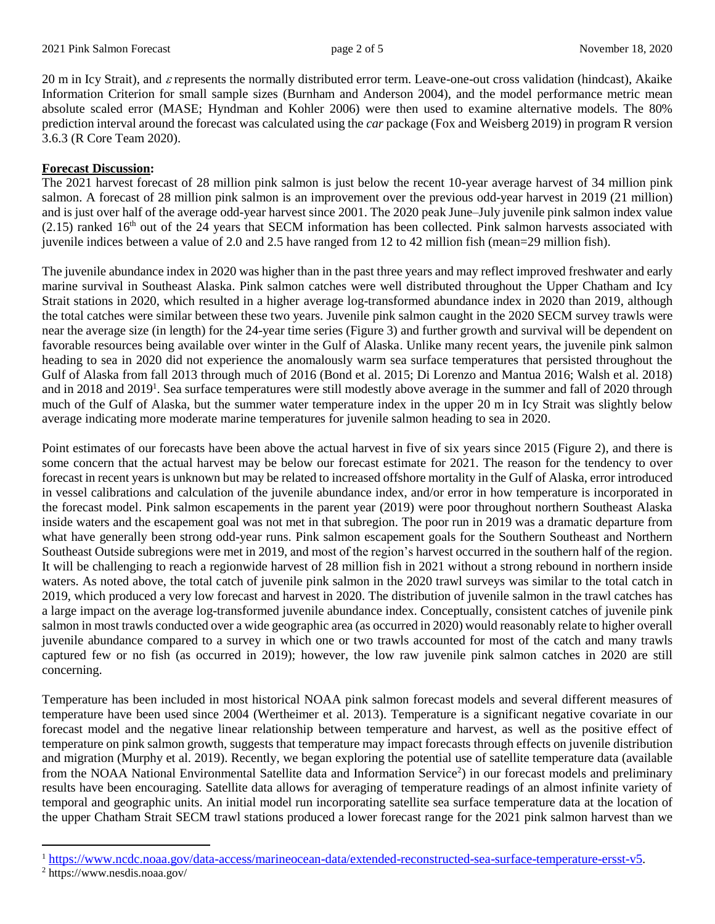20 m in Icy Strait), and  $\varepsilon$  represents the normally distributed error term. Leave-one-out cross validation (hindcast), Akaike Information Criterion for small sample sizes (Burnham and Anderson 2004), and the model performance metric mean absolute scaled error (MASE; Hyndman and Kohler 2006) were then used to examine alternative models. The 80% prediction interval around the forecast was calculated using the *car* package (Fox and Weisberg 2019) in program R version 3.6.3 (R Core Team 2020).

## **Forecast Discussion:**

The 2021 harvest forecast of 28 million pink salmon is just below the recent 10-year average harvest of 34 million pink salmon. A forecast of 28 million pink salmon is an improvement over the previous odd-year harvest in 2019 (21 million) and is just over half of the average odd-year harvest since 2001. The 2020 peak June–July juvenile pink salmon index value  $(2.15)$  ranked  $16<sup>th</sup>$  out of the 24 years that SECM information has been collected. Pink salmon harvests associated with juvenile indices between a value of 2.0 and 2.5 have ranged from 12 to 42 million fish (mean=29 million fish).

The juvenile abundance index in 2020 was higher than in the past three years and may reflect improved freshwater and early marine survival in Southeast Alaska. Pink salmon catches were well distributed throughout the Upper Chatham and Icy Strait stations in 2020, which resulted in a higher average log-transformed abundance index in 2020 than 2019, although the total catches were similar between these two years. Juvenile pink salmon caught in the 2020 SECM survey trawls were near the average size (in length) for the 24-year time series (Figure 3) and further growth and survival will be dependent on favorable resources being available over winter in the Gulf of Alaska. Unlike many recent years, the juvenile pink salmon heading to sea in 2020 did not experience the anomalously warm sea surface temperatures that persisted throughout the Gulf of Alaska from fall 2013 through much of 2016 (Bond et al. 2015; Di Lorenzo and Mantua 2016; Walsh et al. 2018) and in 2018 and 2019<sup>1</sup>. Sea surface temperatures were still modestly above average in the summer and fall of 2020 through much of the Gulf of Alaska, but the summer water temperature index in the upper 20 m in Icy Strait was slightly below average indicating more moderate marine temperatures for juvenile salmon heading to sea in 2020.

Point estimates of our forecasts have been above the actual harvest in five of six years since 2015 (Figure 2), and there is some concern that the actual harvest may be below our forecast estimate for 2021. The reason for the tendency to over forecast in recent years is unknown but may be related to increased offshore mortality in the Gulf of Alaska, error introduced in vessel calibrations and calculation of the juvenile abundance index, and/or error in how temperature is incorporated in the forecast model. Pink salmon escapements in the parent year (2019) were poor throughout northern Southeast Alaska inside waters and the escapement goal was not met in that subregion. The poor run in 2019 was a dramatic departure from what have generally been strong odd-year runs. Pink salmon escapement goals for the Southern Southeast and Northern Southeast Outside subregions were met in 2019, and most of the region's harvest occurred in the southern half of the region. It will be challenging to reach a regionwide harvest of 28 million fish in 2021 without a strong rebound in northern inside waters. As noted above, the total catch of juvenile pink salmon in the 2020 trawl surveys was similar to the total catch in 2019, which produced a very low forecast and harvest in 2020. The distribution of juvenile salmon in the trawl catches has a large impact on the average log-transformed juvenile abundance index. Conceptually, consistent catches of juvenile pink salmon in most trawls conducted over a wide geographic area (as occurred in 2020) would reasonably relate to higher overall juvenile abundance compared to a survey in which one or two trawls accounted for most of the catch and many trawls captured few or no fish (as occurred in 2019); however, the low raw juvenile pink salmon catches in 2020 are still concerning.

Temperature has been included in most historical NOAA pink salmon forecast models and several different measures of temperature have been used since 2004 (Wertheimer et al. 2013). Temperature is a significant negative covariate in our forecast model and the negative linear relationship between temperature and harvest, as well as the positive effect of temperature on pink salmon growth, suggests that temperature may impact forecasts through effects on juvenile distribution and migration (Murphy et al. 2019). Recently, we began exploring the potential use of satellite temperature data (available from the NOAA National Environmental Satellite data and Information Service<sup>2</sup>) in our forecast models and preliminary results have been encouraging. Satellite data allows for averaging of temperature readings of an almost infinite variety of temporal and geographic units. An initial model run incorporating satellite sea surface temperature data at the location of the upper Chatham Strait SECM trawl stations produced a lower forecast range for the 2021 pink salmon harvest than we

 $\overline{\phantom{a}}$ 

<sup>1</sup> [https://www.ncdc.noaa.gov/data-access/marineocean-data/extended-reconstructed-sea-surface-temperature-ersst-v5.](https://www.ncdc.noaa.gov/data-access/marineocean-data/extended-reconstructed-sea-surface-temperature-ersst-v5)

<sup>2</sup> https://www.nesdis.noaa.gov/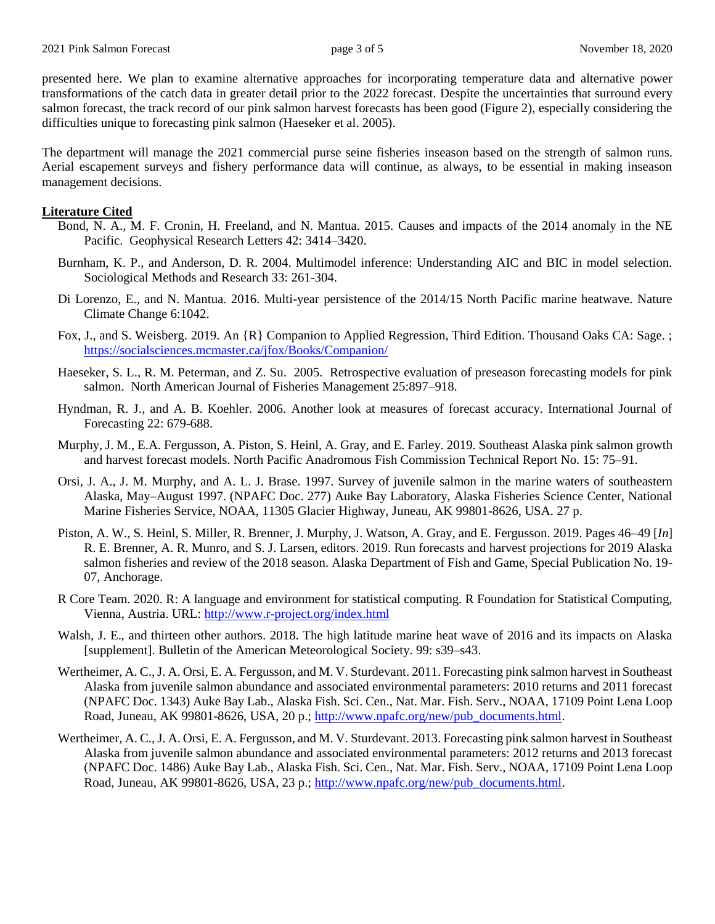presented here. We plan to examine alternative approaches for incorporating temperature data and alternative power transformations of the catch data in greater detail prior to the 2022 forecast. Despite the uncertainties that surround every salmon forecast, the track record of our pink salmon harvest forecasts has been good (Figure 2), especially considering the difficulties unique to forecasting pink salmon (Haeseker et al. 2005).

The department will manage the 2021 commercial purse seine fisheries inseason based on the strength of salmon runs. Aerial escapement surveys and fishery performance data will continue, as always, to be essential in making inseason management decisions.

## **Literature Cited**

- Bond, N. A., M. F. Cronin, H. Freeland, and N. Mantua. 2015. Causes and impacts of the 2014 anomaly in the NE Pacific. Geophysical Research Letters 42: 3414–3420.
- Burnham, K. P., and Anderson, D. R. 2004. Multimodel inference: Understanding AIC and BIC in model selection. Sociological Methods and Research 33: 261-304.
- Di Lorenzo, E., and N. Mantua. 2016. Multi-year persistence of the 2014/15 North Pacific marine heatwave. Nature Climate Change 6:1042.
- Fox, J., and S. Weisberg. 2019. An {R} Companion to Applied Regression, Third Edition. Thousand Oaks CA: Sage. ; <https://socialsciences.mcmaster.ca/jfox/Books/Companion/>
- Haeseker, S. L., R. M. Peterman, and Z. Su. 2005. Retrospective evaluation of preseason forecasting models for pink salmon. North American Journal of Fisheries Management 25:897–918.
- Hyndman, R. J., and A. B. Koehler. 2006. Another look at measures of forecast accuracy. International Journal of Forecasting 22: 679-688.
- Murphy, J. M., E.A. Fergusson, A. Piston, S. Heinl, A. Gray, and E. Farley. 2019. Southeast Alaska pink salmon growth and harvest forecast models. North Pacific Anadromous Fish Commission Technical Report No. 15: 75–91.
- Orsi, J. A., J. M. Murphy, and A. L. J. Brase. 1997. Survey of juvenile salmon in the marine waters of southeastern Alaska, May–August 1997. (NPAFC Doc. 277) Auke Bay Laboratory, Alaska Fisheries Science Center, National Marine Fisheries Service, NOAA, 11305 Glacier Highway, Juneau, AK 99801-8626, USA. 27 p.
- Piston, A. W., S. Heinl, S. Miller, R. Brenner, J. Murphy, J. Watson, A. Gray, and E. Fergusson. 2019. Pages 46–49 [*In*] R. E. Brenner, A. R. Munro, and S. J. Larsen, editors. 2019. Run forecasts and harvest projections for 2019 Alaska salmon fisheries and review of the 2018 season. Alaska Department of Fish and Game, Special Publication No. 19- 07, Anchorage.
- R Core Team. 2020. R: A language and environment for statistical computing. R Foundation for Statistical Computing, Vienna, Austria. URL:<http://www.r-project.org/index.html>
- Walsh, J. E., and thirteen other authors. 2018. The high latitude marine heat wave of 2016 and its impacts on Alaska [supplement]. Bulletin of the American Meteorological Society. 99: s39–s43.
- Wertheimer, A. C., J. A. Orsi, E. A. Fergusson, and M. V. Sturdevant. 2011. Forecasting pink salmon harvest in Southeast Alaska from juvenile salmon abundance and associated environmental parameters: 2010 returns and 2011 forecast (NPAFC Doc. 1343) Auke Bay Lab., Alaska Fish. Sci. Cen., Nat. Mar. Fish. Serv., NOAA, 17109 Point Lena Loop Road, Juneau, AK 99801-8626, USA, 20 p.; [http://www.npafc.org/new/pub\\_documents.html.](http://www.npafc.org/new/pub_documents.html)
- Wertheimer, A. C., J. A. Orsi, E. A. Fergusson, and M. V. Sturdevant. 2013. Forecasting pink salmon harvest in Southeast Alaska from juvenile salmon abundance and associated environmental parameters: 2012 returns and 2013 forecast (NPAFC Doc. 1486) Auke Bay Lab., Alaska Fish. Sci. Cen., Nat. Mar. Fish. Serv., NOAA, 17109 Point Lena Loop Road, Juneau, AK 99801-8626, USA, 23 p.; [http://www.npafc.org/new/pub\\_documents.html.](http://www.npafc.org/new/pub_documents.html)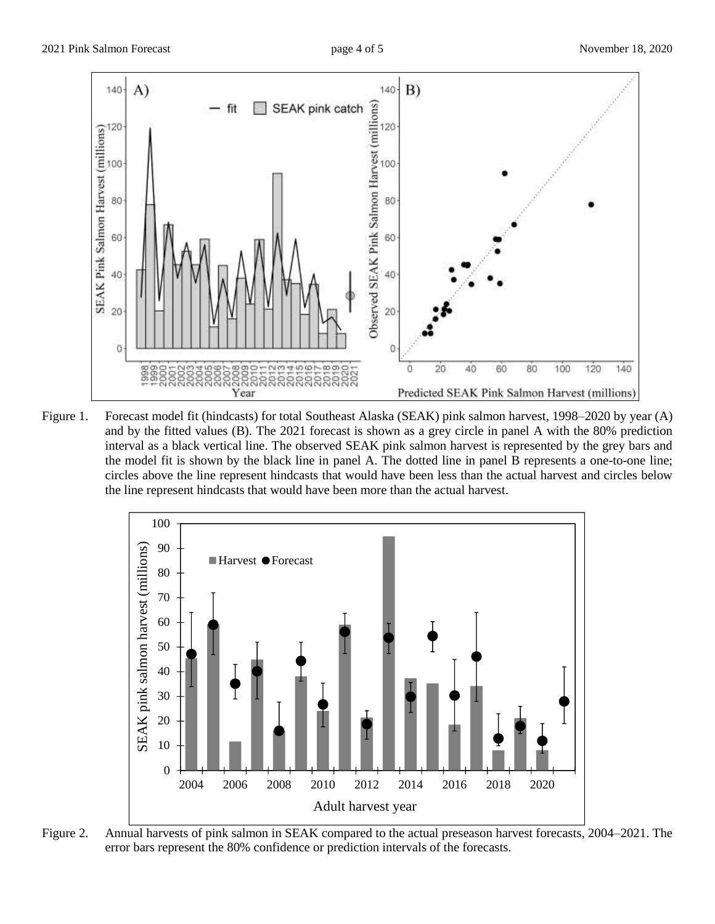

Figure 1. Forecast model fit (hindcasts) for total Southeast Alaska (SEAK) pink salmon harvest, 1998–2020 by year (A) and by the fitted values (B). The 2021 forecast is shown as a grey circle in panel A with the 80% prediction interval as a black vertical line. The observed SEAK pink salmon harvest is represented by the grey bars and the model fit is shown by the black line in panel A. The dotted line in panel B represents a one-to-one line; circles above the line represent hindcasts that would have been less than the actual harvest and circles below the line represent hindcasts that would have been more than the actual harvest.



Figure 2. Annual harvests of pink salmon in SEAK compared to the actual preseason harvest forecasts, 2004–2021. The error bars represent the 80% confidence or prediction intervals of the forecasts.